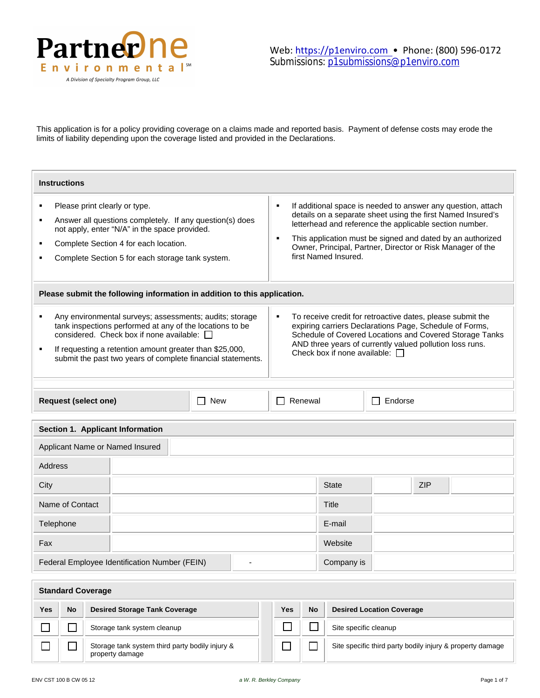

This application is for a policy providing coverage on a claims made and reported basis. Payment of defense costs may erode the limits of liability depending upon the coverage listed and provided in the Declarations.

| <b>Instructions</b>                                                                                                                                                                                                                                                                                                                                                                                                                                                                                                                                                                               |                                                                                                                                                                                                                                                                                                                                                      |              |  |            |  |  |
|---------------------------------------------------------------------------------------------------------------------------------------------------------------------------------------------------------------------------------------------------------------------------------------------------------------------------------------------------------------------------------------------------------------------------------------------------------------------------------------------------------------------------------------------------------------------------------------------------|------------------------------------------------------------------------------------------------------------------------------------------------------------------------------------------------------------------------------------------------------------------------------------------------------------------------------------------------------|--------------|--|------------|--|--|
| Please print clearly or type.<br>٠<br>Answer all questions completely. If any question(s) does<br>٠<br>not apply, enter "N/A" in the space provided.<br>Complete Section 4 for each location.<br>٠<br>Complete Section 5 for each storage tank system.                                                                                                                                                                                                                                                                                                                                            | If additional space is needed to answer any question, attach<br>٠<br>details on a separate sheet using the first Named Insured's<br>letterhead and reference the applicable section number.<br>This application must be signed and dated by an authorized<br>٠<br>Owner, Principal, Partner, Director or Risk Manager of the<br>first Named Insured. |              |  |            |  |  |
| Please submit the following information in addition to this application.                                                                                                                                                                                                                                                                                                                                                                                                                                                                                                                          |                                                                                                                                                                                                                                                                                                                                                      |              |  |            |  |  |
| Any environmental surveys; assessments; audits; storage<br>To receive credit for retroactive dates, please submit the<br>٠<br>٠<br>tank inspections performed at any of the locations to be<br>expiring carriers Declarations Page, Schedule of Forms,<br>considered. Check box if none available: $\Box$<br>Schedule of Covered Locations and Covered Storage Tanks<br>AND three years of currently valued pollution loss runs.<br>If requesting a retention amount greater than \$25,000,<br>Check box if none available: $\Box$<br>submit the past two years of complete financial statements. |                                                                                                                                                                                                                                                                                                                                                      |              |  |            |  |  |
| <b>Request (select one)</b><br><b>New</b><br>$\blacksquare$                                                                                                                                                                                                                                                                                                                                                                                                                                                                                                                                       | Renewal<br>Endorse<br>- 1<br>$\Box$                                                                                                                                                                                                                                                                                                                  |              |  |            |  |  |
| Section 1. Applicant Information                                                                                                                                                                                                                                                                                                                                                                                                                                                                                                                                                                  |                                                                                                                                                                                                                                                                                                                                                      |              |  |            |  |  |
| Applicant Name or Named Insured                                                                                                                                                                                                                                                                                                                                                                                                                                                                                                                                                                   |                                                                                                                                                                                                                                                                                                                                                      |              |  |            |  |  |
| <b>Address</b>                                                                                                                                                                                                                                                                                                                                                                                                                                                                                                                                                                                    |                                                                                                                                                                                                                                                                                                                                                      |              |  |            |  |  |
| City                                                                                                                                                                                                                                                                                                                                                                                                                                                                                                                                                                                              |                                                                                                                                                                                                                                                                                                                                                      | <b>State</b> |  | <b>ZIP</b> |  |  |
| Name of Contact                                                                                                                                                                                                                                                                                                                                                                                                                                                                                                                                                                                   |                                                                                                                                                                                                                                                                                                                                                      | <b>Title</b> |  |            |  |  |
| Telephone                                                                                                                                                                                                                                                                                                                                                                                                                                                                                                                                                                                         |                                                                                                                                                                                                                                                                                                                                                      | E-mail       |  |            |  |  |
| Fax                                                                                                                                                                                                                                                                                                                                                                                                                                                                                                                                                                                               |                                                                                                                                                                                                                                                                                                                                                      | Website      |  |            |  |  |
| Federal Employee Identification Number (FEIN)                                                                                                                                                                                                                                                                                                                                                                                                                                                                                                                                                     |                                                                                                                                                                                                                                                                                                                                                      | Company is   |  |            |  |  |

|     | <b>Standard Coverage</b> |                                                                    |  |     |           |                                                           |  |  |
|-----|--------------------------|--------------------------------------------------------------------|--|-----|-----------|-----------------------------------------------------------|--|--|
| Yes | No                       | <b>Desired Storage Tank Coverage</b>                               |  | Yes | <b>No</b> | <b>Desired Location Coverage</b>                          |  |  |
|     |                          | Storage tank system cleanup                                        |  |     |           | Site specific cleanup                                     |  |  |
|     |                          | Storage tank system third party bodily injury &<br>property damage |  |     |           | Site specific third party bodily injury & property damage |  |  |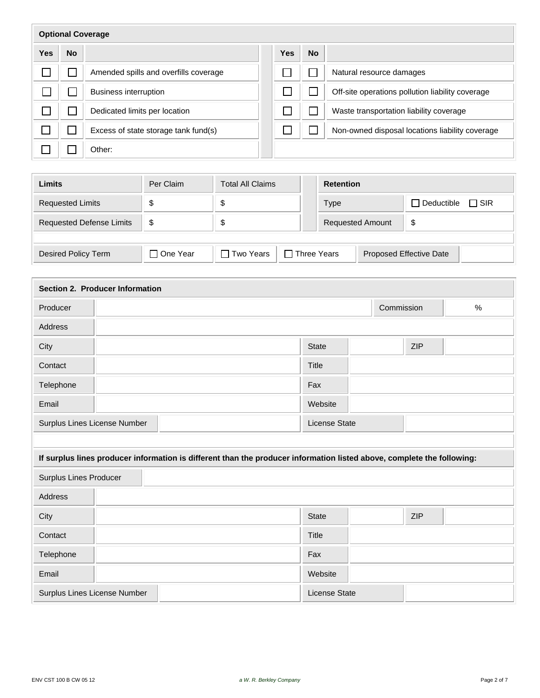| <b>Optional Coverage</b> |           |                                       |            |           |                                                  |  |
|--------------------------|-----------|---------------------------------------|------------|-----------|--------------------------------------------------|--|
| <b>Yes</b>               | <b>No</b> |                                       | <b>Yes</b> | <b>No</b> |                                                  |  |
|                          |           | Amended spills and overfills coverage |            |           | Natural resource damages                         |  |
|                          |           | <b>Business interruption</b>          |            |           | Off-site operations pollution liability coverage |  |
|                          |           | Dedicated limits per location         |            |           | Waste transportation liability coverage          |  |
|                          |           | Excess of state storage tank fund(s)  |            |           | Non-owned disposal locations liability coverage  |  |
|                          |           | Other:                                |            |           |                                                  |  |

| Limits                          | Per Claim  | <b>Total All Claims</b>           | <b>Retention</b>        |                                |  |
|---------------------------------|------------|-----------------------------------|-------------------------|--------------------------------|--|
| <b>Requested Limits</b>         | S          | \$                                | <b>Type</b>             | $\Box$ Deductible $\Box$ SIR   |  |
| <b>Requested Defense Limits</b> | \$         | ъ                                 | <b>Requested Amount</b> | \$                             |  |
|                                 |            |                                   |                         |                                |  |
| <b>Desired Policy Term</b>      | □ One Year | □ Two Years<br>$\Box$ Three Years |                         | <b>Proposed Effective Date</b> |  |

| Section 2. Producer Information                                                                                        |                      |            |            |      |  |
|------------------------------------------------------------------------------------------------------------------------|----------------------|------------|------------|------|--|
| Producer                                                                                                               |                      | Commission |            | $\%$ |  |
| Address                                                                                                                |                      |            |            |      |  |
| City                                                                                                                   | <b>State</b>         |            | <b>ZIP</b> |      |  |
| Contact                                                                                                                | Title                |            |            |      |  |
| Telephone                                                                                                              | Fax                  |            |            |      |  |
| Email                                                                                                                  | Website              |            |            |      |  |
| Surplus Lines License Number                                                                                           | <b>License State</b> |            |            |      |  |
|                                                                                                                        |                      |            |            |      |  |
| If surplus lines producer information is different than the producer information listed above, complete the following: |                      |            |            |      |  |
| Surplus Lines Producer                                                                                                 |                      |            |            |      |  |
| Address                                                                                                                |                      |            |            |      |  |
| City                                                                                                                   | <b>State</b>         |            | <b>ZIP</b> |      |  |
| Contact                                                                                                                | <b>Title</b>         |            |            |      |  |
| Telephone                                                                                                              | Fax                  |            |            |      |  |
| Email                                                                                                                  | Website              |            |            |      |  |
| Surplus Lines License Number                                                                                           | License State        |            |            |      |  |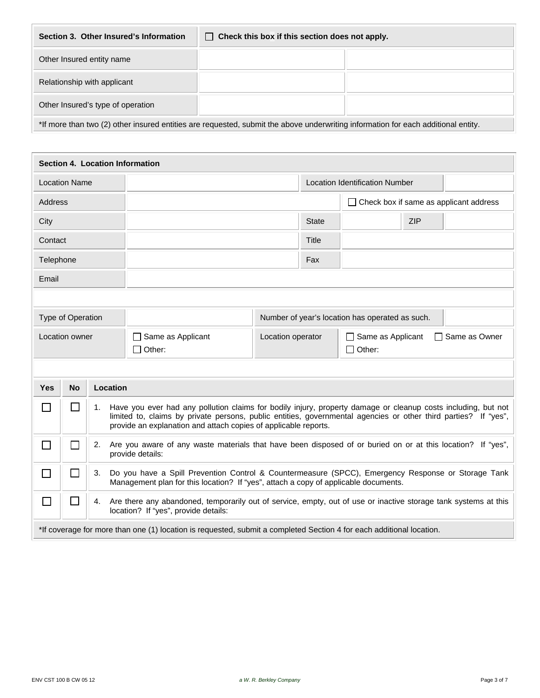| Section 3. Other Insured's Information<br>Check this box if this section does not apply.<br>$\perp$                               |  |  |  |  |  |  |
|-----------------------------------------------------------------------------------------------------------------------------------|--|--|--|--|--|--|
| Other Insured entity name                                                                                                         |  |  |  |  |  |  |
| Relationship with applicant                                                                                                       |  |  |  |  |  |  |
| Other Insured's type of operation                                                                                                 |  |  |  |  |  |  |
| *If more than two (2) other insured entities are requested, submit the above underwriting information for each additional entity. |  |  |  |  |  |  |

| Section 4. Location Information |                                                                                                                                                                                    |                                               |                   |                                                                                                                                                                                           |                                           |              |                                                 |            |  |  |
|---------------------------------|------------------------------------------------------------------------------------------------------------------------------------------------------------------------------------|-----------------------------------------------|-------------------|-------------------------------------------------------------------------------------------------------------------------------------------------------------------------------------------|-------------------------------------------|--------------|-------------------------------------------------|------------|--|--|
|                                 | <b>Location Name</b>                                                                                                                                                               |                                               |                   | <b>Location Identification Number</b>                                                                                                                                                     |                                           |              |                                                 |            |  |  |
| <b>Address</b>                  |                                                                                                                                                                                    | $\Box$ Check box if same as applicant address |                   |                                                                                                                                                                                           |                                           |              |                                                 |            |  |  |
| City                            |                                                                                                                                                                                    |                                               |                   |                                                                                                                                                                                           |                                           | <b>State</b> |                                                 | <b>ZIP</b> |  |  |
| Contact                         |                                                                                                                                                                                    |                                               |                   |                                                                                                                                                                                           |                                           | Title        |                                                 |            |  |  |
| Telephone                       |                                                                                                                                                                                    |                                               |                   | Fax                                                                                                                                                                                       |                                           |              |                                                 |            |  |  |
| Email                           |                                                                                                                                                                                    |                                               |                   |                                                                                                                                                                                           |                                           |              |                                                 |            |  |  |
|                                 |                                                                                                                                                                                    |                                               |                   |                                                                                                                                                                                           |                                           |              |                                                 |            |  |  |
|                                 | Type of Operation                                                                                                                                                                  |                                               |                   |                                                                                                                                                                                           |                                           |              | Number of year's location has operated as such. |            |  |  |
|                                 | Location owner<br>$\Box$ Same as Applicant                                                                                                                                         |                                               | Location operator |                                                                                                                                                                                           | Same as Applicant<br>$\Box$ Same as Owner |              |                                                 |            |  |  |
|                                 |                                                                                                                                                                                    |                                               |                   | $\Box$ Other:                                                                                                                                                                             | $\Box$ Other:                             |              |                                                 |            |  |  |
|                                 |                                                                                                                                                                                    |                                               |                   |                                                                                                                                                                                           |                                           |              |                                                 |            |  |  |
| Yes                             | <b>No</b>                                                                                                                                                                          |                                               | Location          |                                                                                                                                                                                           |                                           |              |                                                 |            |  |  |
| $\Box$                          | $\Box$                                                                                                                                                                             | 1.                                            |                   | Have you ever had any pollution claims for bodily injury, property damage or cleanup costs including, but not                                                                             |                                           |              |                                                 |            |  |  |
|                                 | limited to, claims by private persons, public entities, governmental agencies or other third parties? If "yes",<br>provide an explanation and attach copies of applicable reports. |                                               |                   |                                                                                                                                                                                           |                                           |              |                                                 |            |  |  |
| $\Box$                          | $\Box$                                                                                                                                                                             | 2.                                            |                   | Are you aware of any waste materials that have been disposed of or buried on or at this location? If "yes",<br>provide details:                                                           |                                           |              |                                                 |            |  |  |
| $\Box$                          | $\Box$                                                                                                                                                                             | 3.                                            |                   | Do you have a Spill Prevention Control & Countermeasure (SPCC), Emergency Response or Storage Tank<br>Management plan for this location? If "yes", attach a copy of applicable documents. |                                           |              |                                                 |            |  |  |
| $\Box$                          | $\Box$<br>Are there any abandoned, temporarily out of service, empty, out of use or inactive storage tank systems at this<br>4.<br>location? If "yes", provide details:            |                                               |                   |                                                                                                                                                                                           |                                           |              |                                                 |            |  |  |
|                                 | *If coverage for more than one (1) location is requested, submit a completed Section 4 for each additional location.                                                               |                                               |                   |                                                                                                                                                                                           |                                           |              |                                                 |            |  |  |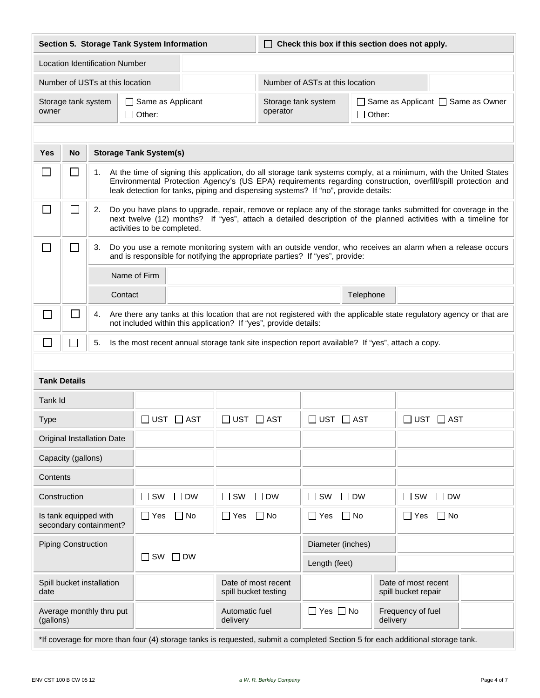| Section 5. Storage Tank System Information                                          |                                                                                                                                                                                                                                                                                                                                       |                                       |                                                                                                   |                            | $\Box$ Check this box if this section does not apply. |                                                                                       |           |                                                                                                                                |  |
|-------------------------------------------------------------------------------------|---------------------------------------------------------------------------------------------------------------------------------------------------------------------------------------------------------------------------------------------------------------------------------------------------------------------------------------|---------------------------------------|---------------------------------------------------------------------------------------------------|----------------------------|-------------------------------------------------------|---------------------------------------------------------------------------------------|-----------|--------------------------------------------------------------------------------------------------------------------------------|--|
|                                                                                     |                                                                                                                                                                                                                                                                                                                                       | <b>Location Identification Number</b> |                                                                                                   |                            |                                                       |                                                                                       |           |                                                                                                                                |  |
|                                                                                     |                                                                                                                                                                                                                                                                                                                                       |                                       | Number of USTs at this location                                                                   |                            | Number of ASTs at this location                       |                                                                                       |           |                                                                                                                                |  |
| owner                                                                               |                                                                                                                                                                                                                                                                                                                                       | Storage tank system                   | Same as Applicant<br>$\Box$ Other:                                                                |                            | operator                                              | $\Box$ Same as Applicant $\Box$ Same as Owner<br>Storage tank system<br>$\Box$ Other: |           |                                                                                                                                |  |
|                                                                                     |                                                                                                                                                                                                                                                                                                                                       |                                       |                                                                                                   |                            |                                                       |                                                                                       |           |                                                                                                                                |  |
| Yes                                                                                 | <b>No</b>                                                                                                                                                                                                                                                                                                                             |                                       | <b>Storage Tank System(s)</b>                                                                     |                            |                                                       |                                                                                       |           |                                                                                                                                |  |
|                                                                                     | $\Box$<br>1. At the time of signing this application, do all storage tank systems comply, at a minimum, with the United States<br>Environmental Protection Agency's (US EPA) requirements regarding construction, overfill/spill protection and<br>leak detection for tanks, piping and dispensing systems? If "no", provide details: |                                       |                                                                                                   |                            |                                                       |                                                                                       |           |                                                                                                                                |  |
| ⊔                                                                                   | $\sim$<br>Do you have plans to upgrade, repair, remove or replace any of the storage tanks submitted for coverage in the<br>2.<br>next twelve (12) months? If "yes", attach a detailed description of the planned activities with a timeline for<br>activities to be completed.                                                       |                                       |                                                                                                   |                            |                                                       |                                                                                       |           |                                                                                                                                |  |
| $\Box$                                                                              | $\Box$<br>Do you use a remote monitoring system with an outside vendor, who receives an alarm when a release occurs<br>3.<br>and is responsible for notifying the appropriate parties? If "yes", provide:                                                                                                                             |                                       |                                                                                                   |                            |                                                       |                                                                                       |           |                                                                                                                                |  |
|                                                                                     |                                                                                                                                                                                                                                                                                                                                       |                                       | Name of Firm                                                                                      |                            |                                                       |                                                                                       |           |                                                                                                                                |  |
|                                                                                     |                                                                                                                                                                                                                                                                                                                                       |                                       | Contact                                                                                           | Telephone                  |                                                       |                                                                                       |           |                                                                                                                                |  |
| $\mathbb{R}^n$                                                                      | $\Box$<br>Are there any tanks at this location that are not registered with the applicable state regulatory agency or that are<br>4.<br>not included within this application? If "yes", provide details:                                                                                                                              |                                       |                                                                                                   |                            |                                                       |                                                                                       |           |                                                                                                                                |  |
| $\Box$                                                                              | $\sim$                                                                                                                                                                                                                                                                                                                                | 5.                                    | Is the most recent annual storage tank site inspection report available? If "yes", attach a copy. |                            |                                                       |                                                                                       |           |                                                                                                                                |  |
|                                                                                     |                                                                                                                                                                                                                                                                                                                                       |                                       |                                                                                                   |                            |                                                       |                                                                                       |           |                                                                                                                                |  |
|                                                                                     | <b>Tank Details</b>                                                                                                                                                                                                                                                                                                                   |                                       |                                                                                                   |                            |                                                       |                                                                                       |           |                                                                                                                                |  |
| Tank Id                                                                             |                                                                                                                                                                                                                                                                                                                                       |                                       |                                                                                                   |                            |                                                       |                                                                                       |           |                                                                                                                                |  |
| <b>Type</b>                                                                         |                                                                                                                                                                                                                                                                                                                                       |                                       | $\sqsupset$ UST $\;\sqsupset$ AST                                                                 | $\Box$ UST $\Box$ AST      |                                                       | $\Box$ UST $\Box$ AST                                                                 |           | $\square$ <code>UST <math>\square</math> AST</code>                                                                            |  |
|                                                                                     |                                                                                                                                                                                                                                                                                                                                       | Original Installation Date            |                                                                                                   |                            |                                                       |                                                                                       |           |                                                                                                                                |  |
|                                                                                     | Capacity (gallons)                                                                                                                                                                                                                                                                                                                    |                                       |                                                                                                   |                            |                                                       |                                                                                       |           |                                                                                                                                |  |
| Contents                                                                            |                                                                                                                                                                                                                                                                                                                                       |                                       |                                                                                                   |                            |                                                       |                                                                                       |           |                                                                                                                                |  |
| Construction                                                                        |                                                                                                                                                                                                                                                                                                                                       |                                       | $\Box$ SW<br>$\square$ DW                                                                         | $\Box$ SW                  | $\sqcap$ DW                                           | $\square$ SW                                                                          | $\Box$ DW | $\square$ SW<br>$\Box$ DW                                                                                                      |  |
| Is tank equipped with<br>$\Box$ Yes<br>$\Box$ No<br>∏ Yes<br>secondary containment? |                                                                                                                                                                                                                                                                                                                                       |                                       |                                                                                                   | $\square$ No               | $\Box$ No<br>$\Box$ Yes                               | $\Box$ No<br>$\square$ Yes                                                            |           |                                                                                                                                |  |
| <b>Piping Construction</b>                                                          |                                                                                                                                                                                                                                                                                                                                       |                                       | Diameter (inches)                                                                                 |                            |                                                       |                                                                                       |           |                                                                                                                                |  |
| SW<br>∣ I DW<br>$\sim$                                                              |                                                                                                                                                                                                                                                                                                                                       |                                       |                                                                                                   | Length (feet)              |                                                       |                                                                                       |           |                                                                                                                                |  |
| date                                                                                |                                                                                                                                                                                                                                                                                                                                       | Spill bucket installation             |                                                                                                   | spill bucket testing       | Date of most recent                                   |                                                                                       |           | Date of most recent<br>spill bucket repair                                                                                     |  |
| (gallons)                                                                           |                                                                                                                                                                                                                                                                                                                                       | Average monthly thru put              |                                                                                                   | Automatic fuel<br>delivery |                                                       | $\Box$ Yes $\Box$ No                                                                  |           | Frequency of fuel<br>delivery                                                                                                  |  |
|                                                                                     |                                                                                                                                                                                                                                                                                                                                       |                                       |                                                                                                   |                            |                                                       |                                                                                       |           | *If coverage for more than four (4) storage tanks is requested, submit a completed Section 5 for each additional storage tank. |  |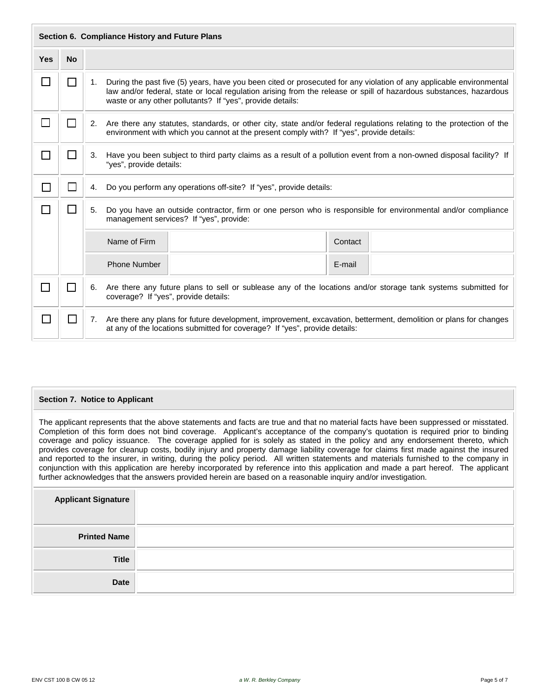|                             | Section 6. Compliance History and Future Plans |                                                                                                                                                             |                                                                                                                                                                                                                                                                                                              |  |  |  |  |  |  |  |
|-----------------------------|------------------------------------------------|-------------------------------------------------------------------------------------------------------------------------------------------------------------|--------------------------------------------------------------------------------------------------------------------------------------------------------------------------------------------------------------------------------------------------------------------------------------------------------------|--|--|--|--|--|--|--|
| <b>Yes</b>                  | <b>No</b>                                      |                                                                                                                                                             |                                                                                                                                                                                                                                                                                                              |  |  |  |  |  |  |  |
|                             | $\sim$                                         |                                                                                                                                                             | During the past five (5) years, have you been cited or prosecuted for any violation of any applicable environmental<br>1.<br>law and/or federal, state or local regulation arising from the release or spill of hazardous substances, hazardous<br>waste or any other pollutants? If "yes", provide details: |  |  |  |  |  |  |  |
| $\Box$                      | $\Box$                                         |                                                                                                                                                             | 2. Are there any statutes, standards, or other city, state and/or federal regulations relating to the protection of the<br>environment with which you cannot at the present comply with? If "yes", provide details:                                                                                          |  |  |  |  |  |  |  |
| $\mathcal{L}_{\mathcal{A}}$ | $\Box$                                         |                                                                                                                                                             | Have you been subject to third party claims as a result of a pollution event from a non-owned disposal facility? If<br>3.<br>"yes", provide details:                                                                                                                                                         |  |  |  |  |  |  |  |
| $\mathsf{L}$                | ΙI                                             | 4.                                                                                                                                                          | Do you perform any operations off-site? If "yes", provide details:                                                                                                                                                                                                                                           |  |  |  |  |  |  |  |
|                             | $\mathsf{L}$                                   | 5.                                                                                                                                                          | Do you have an outside contractor, firm or one person who is responsible for environmental and/or compliance<br>management services? If "yes", provide:                                                                                                                                                      |  |  |  |  |  |  |  |
|                             |                                                |                                                                                                                                                             | Name of Firm<br>Contact                                                                                                                                                                                                                                                                                      |  |  |  |  |  |  |  |
|                             |                                                |                                                                                                                                                             | <b>Phone Number</b><br>E-mail                                                                                                                                                                                                                                                                                |  |  |  |  |  |  |  |
|                             |                                                | Are there any future plans to sell or sublease any of the locations and/or storage tank systems submitted for<br>6.<br>coverage? If "yes", provide details: |                                                                                                                                                                                                                                                                                                              |  |  |  |  |  |  |  |
| П                           | $\Box$                                         | 7.                                                                                                                                                          | Are there any plans for future development, improvement, excavation, betterment, demolition or plans for changes<br>at any of the locations submitted for coverage? If "yes", provide details:                                                                                                               |  |  |  |  |  |  |  |

## **Section 7. Notice to Applicant**

The applicant represents that the above statements and facts are true and that no material facts have been suppressed or misstated. Completion of this form does not bind coverage. Applicant's acceptance of the company's quotation is required prior to binding coverage and policy issuance. The coverage applied for is solely as stated in the policy and any endorsement thereto, which provides coverage for cleanup costs, bodily injury and property damage liability coverage for claims first made against the insured and reported to the insurer, in writing, during the policy period. All written statements and materials furnished to the company in conjunction with this application are hereby incorporated by reference into this application and made a part hereof. The applicant further acknowledges that the answers provided herein are based on a reasonable inquiry and/or investigation.

| <b>Applicant Signature</b> |  |
|----------------------------|--|
| <b>Printed Name</b>        |  |
| <b>Title</b>               |  |
| <b>Date</b>                |  |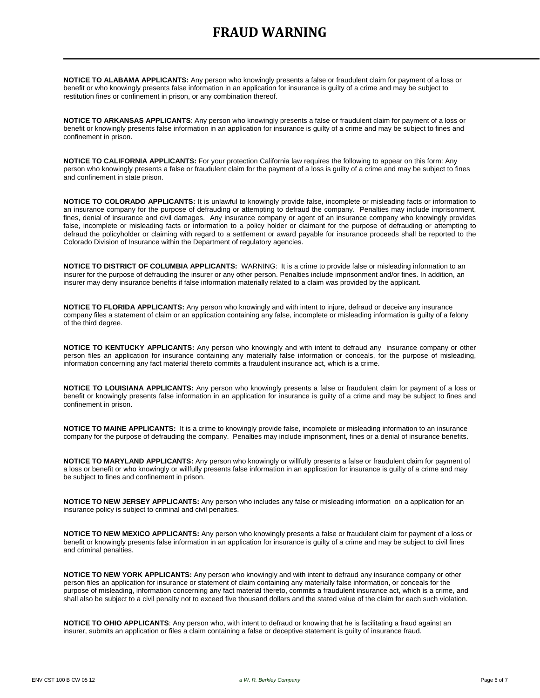## **FRAUD WARNING**

**NOTICE TO ALABAMA APPLICANTS:** Any person who knowingly presents a false or fraudulent claim for payment of a loss or benefit or who knowingly presents false information in an application for insurance is guilty of a crime and may be subject to restitution fines or confinement in prison, or any combination thereof.

**NOTICE TO ARKANSAS APPLICANTS**: Any person who knowingly presents a false or fraudulent claim for payment of a loss or benefit or knowingly presents false information in an application for insurance is guilty of a crime and may be subject to fines and confinement in prison.

**NOTICE TO CALIFORNIA APPLICANTS:** For your protection California law requires the following to appear on this form: Any person who knowingly presents a false or fraudulent claim for the payment of a loss is guilty of a crime and may be subject to fines and confinement in state prison.

**NOTICE TO COLORADO APPLICANTS:** It is unlawful to knowingly provide false, incomplete or misleading facts or information to an insurance company for the purpose of defrauding or attempting to defraud the company. Penalties may include imprisonment, fines, denial of insurance and civil damages. Any insurance company or agent of an insurance company who knowingly provides false, incomplete or misleading facts or information to a policy holder or claimant for the purpose of defrauding or attempting to defraud the policyholder or claiming with regard to a settlement or award payable for insurance proceeds shall be reported to the Colorado Division of Insurance within the Department of regulatory agencies.

**NOTICE TO DISTRICT OF COLUMBIA APPLICANTS:** WARNING: It is a crime to provide false or misleading information to an insurer for the purpose of defrauding the insurer or any other person. Penalties include imprisonment and/or fines. In addition, an insurer may deny insurance benefits if false information materially related to a claim was provided by the applicant.

**NOTICE TO FLORIDA APPLICANTS:** Any person who knowingly and with intent to injure, defraud or deceive any insurance company files a statement of claim or an application containing any false, incomplete or misleading information is guilty of a felony of the third degree.

**NOTICE TO KENTUCKY APPLICANTS:** Any person who knowingly and with intent to defraud any insurance company or other person files an application for insurance containing any materially false information or conceals, for the purpose of misleading, information concerning any fact material thereto commits a fraudulent insurance act, which is a crime.

**NOTICE TO LOUISIANA APPLICANTS:** Any person who knowingly presents a false or fraudulent claim for payment of a loss or benefit or knowingly presents false information in an application for insurance is guilty of a crime and may be subject to fines and confinement in prison.

**NOTICE TO MAINE APPLICANTS:** It is a crime to knowingly provide false, incomplete or misleading information to an insurance company for the purpose of defrauding the company. Penalties may include imprisonment, fines or a denial of insurance benefits.

**NOTICE TO MARYLAND APPLICANTS:** Any person who knowingly or willfully presents a false or fraudulent claim for payment of a loss or benefit or who knowingly or willfully presents false information in an application for insurance is guilty of a crime and may be subject to fines and confinement in prison.

**NOTICE TO NEW JERSEY APPLICANTS:** Any person who includes any false or misleading information on a application for an insurance policy is subject to criminal and civil penalties.

**NOTICE TO NEW MEXICO APPLICANTS:** Any person who knowingly presents a false or fraudulent claim for payment of a loss or benefit or knowingly presents false information in an application for insurance is guilty of a crime and may be subject to civil fines and criminal penalties.

**NOTICE TO NEW YORK APPLICANTS:** Any person who knowingly and with intent to defraud any insurance company or other person files an application for insurance or statement of claim containing any materially false information, or conceals for the purpose of misleading, information concerning any fact material thereto, commits a fraudulent insurance act, which is a crime, and shall also be subject to a civil penalty not to exceed five thousand dollars and the stated value of the claim for each such violation.

**NOTICE TO OHIO APPLICANTS**: Any person who, with intent to defraud or knowing that he is facilitating a fraud against an insurer, submits an application or files a claim containing a false or deceptive statement is guilty of insurance fraud.